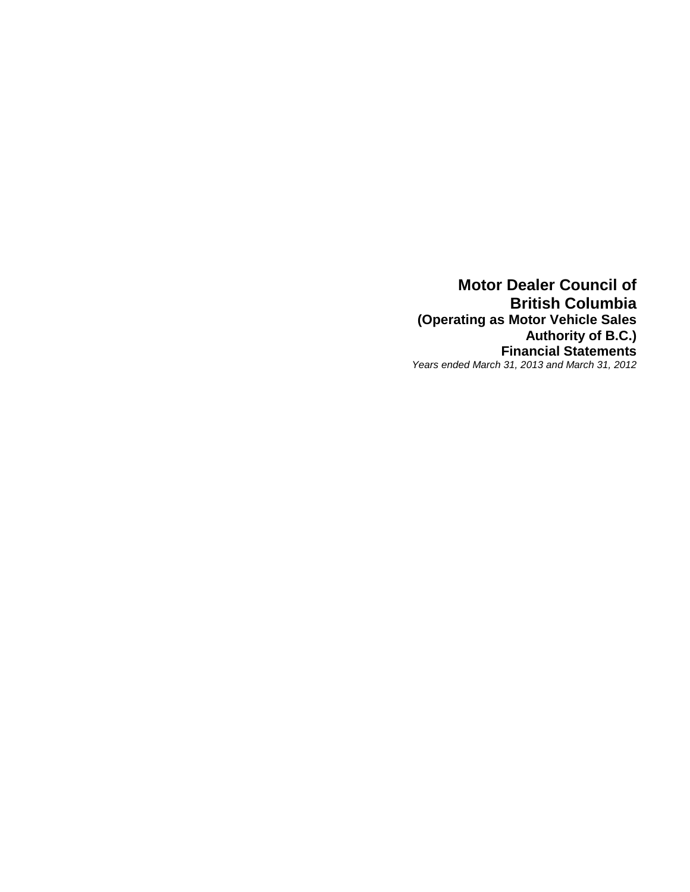**Motor Dealer Council of British Columbia (Operating as Motor Vehicle Sales Authority of B.C.) Financial Statements** *Years ended March 31, 2013 and March 31, 2012*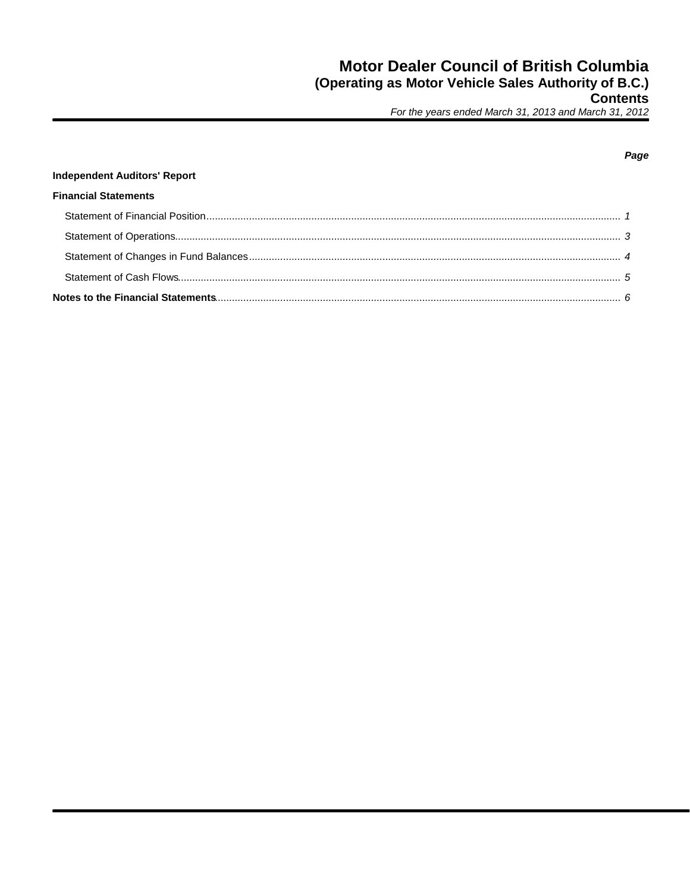## **Independent Auditors' Report Financial Statements**

#### Page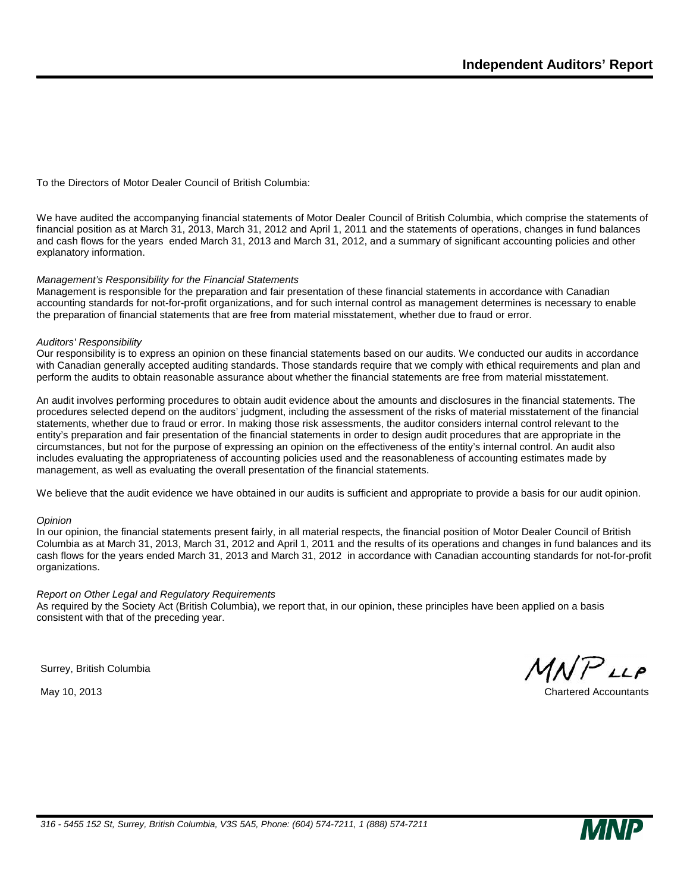To the Directors of Motor Dealer Council of British Columbia:

We have audited the accompanying financial statements of Motor Dealer Council of British Columbia, which comprise the statements of financial position as at March 31, 2013, March 31, 2012 and April 1, 2011 and the statements of operations, changes in fund balances and cash flows for the years ended March 31, 2013 and March 31, 2012, and a summary of significant accounting policies and other explanatory information.

#### *Management's Responsibility for the Financial Statements*

Management is responsible for the preparation and fair presentation of these financial statements in accordance with Canadian accounting standards for not-for-profit organizations, and for such internal control as management determines is necessary to enable the preparation of financial statements that are free from material misstatement, whether due to fraud or error.

#### *Auditors' Responsibility*

Our responsibility is to express an opinion on these financial statements based on our audits. We conducted our audits in accordance with Canadian generally accepted auditing standards. Those standards require that we comply with ethical requirements and plan and perform the audits to obtain reasonable assurance about whether the financial statements are free from material misstatement.

An audit involves performing procedures to obtain audit evidence about the amounts and disclosures in the financial statements. The procedures selected depend on the auditors' judgment, including the assessment of the risks of material misstatement of the financial statements, whether due to fraud or error. In making those risk assessments, the auditor considers internal control relevant to the entity's preparation and fair presentation of the financial statements in order to design audit procedures that are appropriate in the circumstances, but not for the purpose of expressing an opinion on the effectiveness of the entity's internal control. An audit also includes evaluating the appropriateness of accounting policies used and the reasonableness of accounting estimates made by management, as well as evaluating the overall presentation of the financial statements.

We believe that the audit evidence we have obtained in our audits is sufficient and appropriate to provide a basis for our audit opinion.

#### *Opinion*

In our opinion, the financial statements present fairly, in all material respects, the financial position of Motor Dealer Council of British Columbia as at March 31, 2013, March 31, 2012 and April 1, 2011 and the results of its operations and changes in fund balances and its cash flows for the years ended March 31, 2013 and March 31, 2012 in accordance with Canadian accounting standards for not-for-profit organizations.

#### *Report on Other Legal and Regulatory Requirements*

As required by the Society Act (British Columbia), we report that, in our opinion, these principles have been applied on a basis consistent with that of the preceding year.

Surrey, British Columbia

 $P$ LLP

May 10, 2013 Chartered Accountants

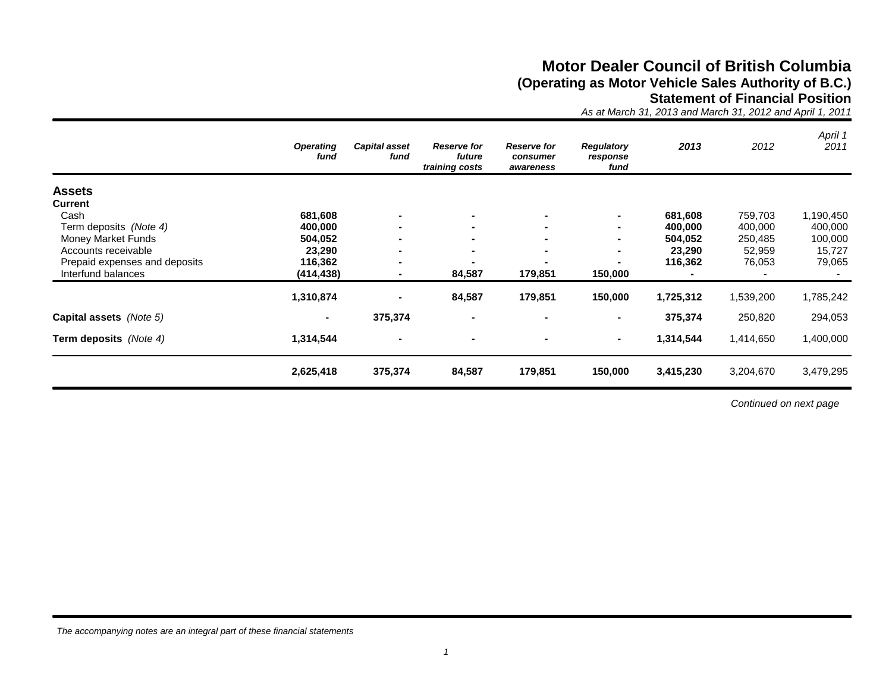## **Motor Dealer Council of British Columbia (Operating as Motor Vehicle Sales Authority of B.C.) Statement of Financial Position**

*As at March 31, 2013 and March 31, 2012 and April 1, 2011*

|                               | <b>Operating</b><br>fund | <b>Capital asset</b><br>fund | <b>Reserve for</b><br>future<br>training costs | <b>Reserve for</b><br>consumer<br>awareness | <b>Regulatory</b><br>response<br>fund | 2013      | 2012      | April 1<br>2011 |
|-------------------------------|--------------------------|------------------------------|------------------------------------------------|---------------------------------------------|---------------------------------------|-----------|-----------|-----------------|
| <b>Assets</b>                 |                          |                              |                                                |                                             |                                       |           |           |                 |
| <b>Current</b>                |                          |                              |                                                |                                             |                                       |           |           |                 |
| Cash                          | 681,608                  |                              | $\blacksquare$                                 |                                             | $\blacksquare$                        | 681,608   | 759,703   | 1,190,450       |
| Term deposits (Note 4)        | 400,000                  | $\blacksquare$               | $\blacksquare$                                 |                                             | $\blacksquare$                        | 400,000   | 400,000   | 400,000         |
| Money Market Funds            | 504,052                  | $\blacksquare$               | $\sim$                                         |                                             |                                       | 504,052   | 250,485   | 100,000         |
| Accounts receivable           | 23,290                   | $\blacksquare$               | $\blacksquare$                                 |                                             | $\blacksquare$                        | 23,290    | 52,959    | 15,727          |
| Prepaid expenses and deposits | 116,362                  | $\blacksquare$               | $\blacksquare$                                 |                                             | $\blacksquare$                        | 116,362   | 76,053    | 79,065          |
| Interfund balances            | (414, 438)               |                              | 84,587                                         | 179,851                                     | 150,000                               |           |           |                 |
|                               | 1,310,874                |                              | 84,587                                         | 179,851                                     | 150,000                               | 1,725,312 | 1,539,200 | 1,785,242       |
| Capital assets (Note 5)       | $\blacksquare$           | 375,374                      | $\blacksquare$                                 |                                             | $\blacksquare$                        | 375,374   | 250,820   | 294,053         |
| Term deposits (Note 4)        | 1,314,544                | $\blacksquare$               |                                                |                                             | $\blacksquare$                        | 1,314,544 | 1,414,650 | 1,400,000       |
|                               | 2,625,418                | 375,374                      | 84,587                                         | 179,851                                     | 150,000                               | 3,415,230 | 3,204,670 | 3,479,295       |

*Continued on next page*

*The accompanying notes are an integral part of these financial statements*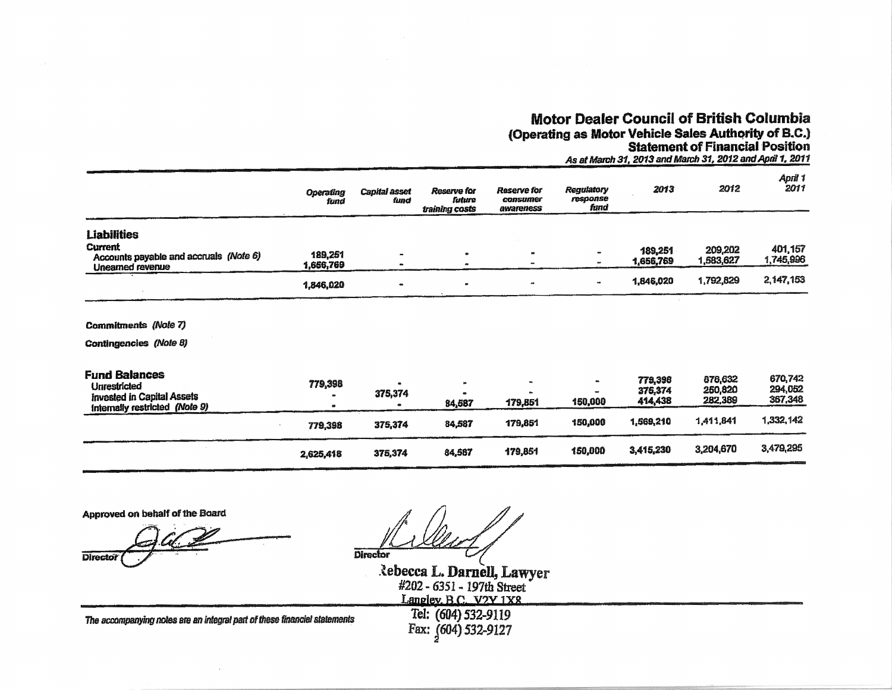# **Motor Dealer Council of British Columbia** (Operating as Motor Vehicle Sales Authority of B.C.)<br>Statement of Financial Position

As at March 31, 2013 and March 31, 2012 and April 1, 2011

|                                                                                                                    | <b>Operating</b><br>fund | <b>Capital asset</b><br>fund | <b>Reserve for</b><br>future<br>training costs | <b>Reserve for</b><br>consumer<br>awareness | Regulatory<br>response<br>fund | 2013                          | 2012                          | April 1<br>2011               |
|--------------------------------------------------------------------------------------------------------------------|--------------------------|------------------------------|------------------------------------------------|---------------------------------------------|--------------------------------|-------------------------------|-------------------------------|-------------------------------|
| <b>Liabilities</b>                                                                                                 |                          |                              |                                                |                                             |                                |                               |                               |                               |
| Current<br>Accounts payable and accruals (Note 6)<br>Unearned revenue                                              | 189,251<br>1,666,769     |                              | $\bullet$                                      | $\bullet$                                   |                                | 189,251<br>1,656,769          | 209,202<br>1,583,627          | 401,157<br>1,745,996          |
|                                                                                                                    | 1,846,020                |                              | $\bullet$                                      |                                             |                                | 1,846,020                     | 1,792,829                     | 2,147,153                     |
| <b>Commitments (Note 7)</b>                                                                                        |                          |                              |                                                |                                             |                                |                               |                               |                               |
| Contingencies (Note 8)                                                                                             |                          |                              |                                                |                                             |                                |                               |                               |                               |
| <b>Fund Balances</b><br><b>Unrestricted</b><br><b>Invested in Capital Assets</b><br>Internally restricted (Note 9) | 779,398                  | 375,374                      | 84,587                                         | 179,851                                     | a.<br>150,000                  | 779,398<br>375,374<br>414,438 | 878,632<br>250,820<br>282,389 | 670,742<br>294,052<br>367,348 |
|                                                                                                                    | 779,398                  | 375,374                      | 84,587                                         | 179,851                                     | 150,000                        | 1,569,210                     | 1,411,841                     | 1,332,142                     |
|                                                                                                                    | 2,625,418                | 375,374                      | 84,587                                         | 179,851                                     | 150,000                        | 3,415,230                     | 3,204,670                     | 3,479,295                     |

Approved on behalf of the Board

**Director** 

**Director** 

Rebecca L. Darnell, Lawyer<br>#202 - 6351 - 197th Street<br>Langley B.C. V2V 1X8

The accompanying notes are an integral part of these financial statements

Tel: (604) 532-9119 Fax: (604) 532-9127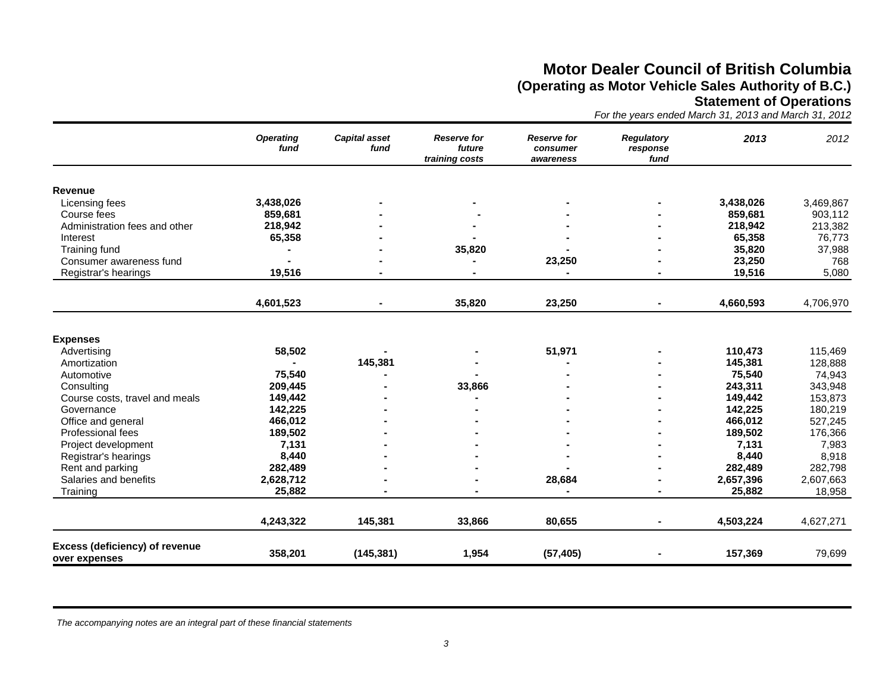## **Motor Dealer Council of British Columbia (Operating as Motor Vehicle Sales Authority of B.C.) Statement of Operations**

*For the years ended March 31, 2013 and March 31, 2012*

|                                                 | <b>Operating</b><br>fund | <b>Capital asset</b><br>fund | <b>Reserve for</b><br>future<br>training costs | <b>Reserve for</b><br>consumer<br>awareness | <b>Regulatory</b><br>response<br>fund | 2013      | 2012      |
|-------------------------------------------------|--------------------------|------------------------------|------------------------------------------------|---------------------------------------------|---------------------------------------|-----------|-----------|
| Revenue                                         |                          |                              |                                                |                                             |                                       |           |           |
| Licensing fees                                  | 3,438,026                |                              |                                                |                                             |                                       | 3,438,026 | 3,469,867 |
| Course fees                                     | 859,681                  |                              |                                                |                                             |                                       | 859,681   | 903,112   |
| Administration fees and other                   | 218,942                  |                              |                                                |                                             |                                       | 218,942   | 213,382   |
| Interest                                        | 65,358                   |                              |                                                |                                             |                                       | 65,358    | 76,773    |
| Training fund                                   |                          |                              | 35,820                                         |                                             |                                       | 35,820    | 37,988    |
| Consumer awareness fund                         |                          |                              |                                                | 23,250                                      |                                       | 23,250    | 768       |
| Registrar's hearings                            | 19,516                   |                              |                                                |                                             |                                       | 19,516    | 5,080     |
|                                                 | 4,601,523                |                              | 35,820                                         | 23,250                                      | Ξ.                                    | 4,660,593 | 4,706,970 |
|                                                 |                          |                              |                                                |                                             |                                       |           |           |
| <b>Expenses</b>                                 |                          |                              |                                                |                                             |                                       |           |           |
| Advertising                                     | 58,502                   |                              |                                                | 51,971                                      |                                       | 110,473   | 115,469   |
| Amortization                                    |                          | 145,381                      |                                                |                                             |                                       | 145,381   | 128,888   |
| Automotive                                      | 75,540                   |                              |                                                |                                             |                                       | 75,540    | 74,943    |
| Consulting                                      | 209,445                  |                              | 33,866                                         |                                             |                                       | 243,311   | 343,948   |
| Course costs, travel and meals                  | 149,442                  |                              |                                                |                                             |                                       | 149,442   | 153,873   |
| Governance                                      | 142,225                  |                              |                                                |                                             |                                       | 142,225   | 180,219   |
| Office and general                              | 466,012                  |                              |                                                |                                             |                                       | 466,012   | 527,245   |
| Professional fees                               | 189,502                  |                              |                                                |                                             |                                       | 189,502   | 176,366   |
| Project development                             | 7,131                    |                              |                                                |                                             |                                       | 7,131     | 7,983     |
| Registrar's hearings                            | 8,440                    |                              |                                                |                                             |                                       | 8,440     | 8,918     |
| Rent and parking                                | 282,489                  |                              |                                                |                                             |                                       | 282,489   | 282,798   |
| Salaries and benefits                           | 2,628,712                |                              |                                                | 28,684                                      |                                       | 2,657,396 | 2,607,663 |
| Training                                        | 25,882                   |                              |                                                |                                             |                                       | 25,882    | 18,958    |
|                                                 | 4,243,322                | 145,381                      | 33,866                                         | 80.655                                      |                                       | 4,503,224 | 4,627,271 |
| Excess (deficiency) of revenue<br>over expenses | 358,201                  | (145, 381)                   | 1,954                                          | (57, 405)                                   |                                       | 157,369   | 79,699    |

*The accompanying notes are an integral part of these financial statements*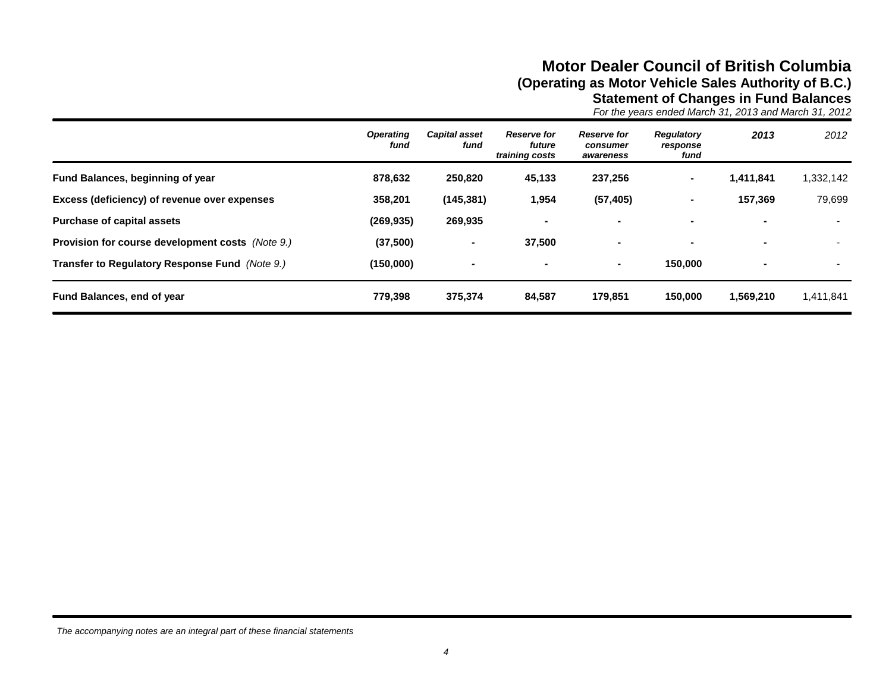## **Motor Dealer Council of British Columbia (Operating as Motor Vehicle Sales Authority of B.C.) Statement of Changes in Fund Balances**

*For the years ended March 31, 2013 and March 31, 2012*

|                                                         | <b>Operating</b><br>fund | <b>Capital asset</b><br>fund | <b>Reserve for</b><br>future<br>training costs | <b>Reserve for</b><br>consumer<br>awareness | Regulatory<br>response<br>fund | 2013                     | 2012      |
|---------------------------------------------------------|--------------------------|------------------------------|------------------------------------------------|---------------------------------------------|--------------------------------|--------------------------|-----------|
| Fund Balances, beginning of year                        | 878,632                  | 250,820                      | 45,133                                         | 237,256                                     | $\blacksquare$                 | 1,411,841                | 1,332,142 |
| Excess (deficiency) of revenue over expenses            | 358,201                  | (145, 381)                   | 1,954                                          | (57, 405)                                   | $\blacksquare$                 | 157.369                  | 79,699    |
| <b>Purchase of capital assets</b>                       | (269, 935)               | 269,935                      |                                                |                                             |                                | $\overline{\phantom{a}}$ |           |
| <b>Provision for course development costs</b> (Note 9.) | (37,500)                 | $\blacksquare$               | 37,500                                         | $\overline{\phantom{0}}$                    |                                | $\blacksquare$           |           |
| Transfer to Regulatory Response Fund (Note 9.)          | (150,000)                | $\blacksquare$               |                                                | $\blacksquare$                              | 150,000                        | $\blacksquare$           |           |
| Fund Balances, end of year                              | 779,398                  | 375,374                      | 84,587                                         | 179,851                                     | 150,000                        | 1,569,210                | 1,411,841 |

*The accompanying notes are an integral part of these financial statements*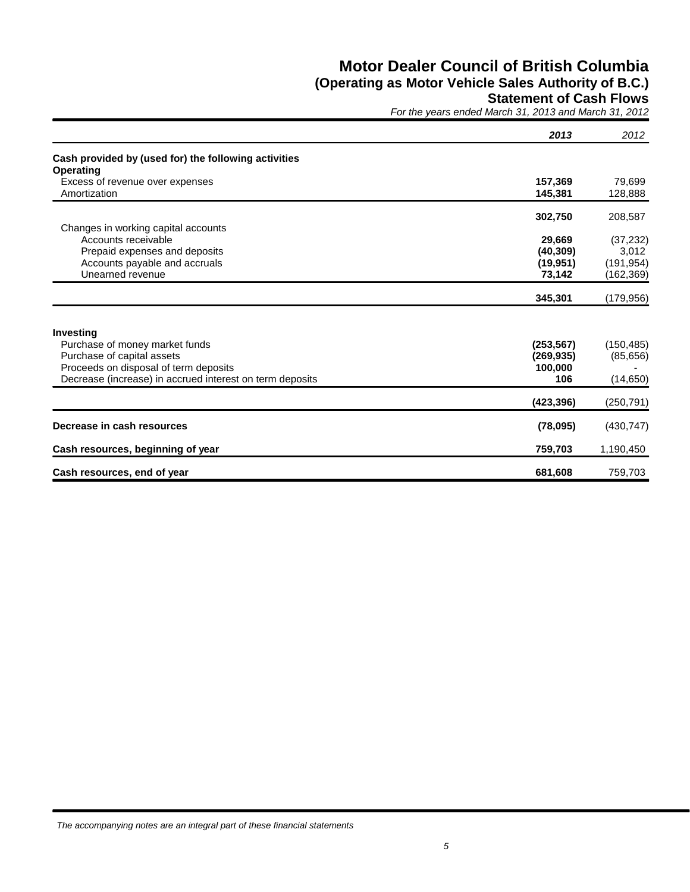## **Motor Dealer Council of British Columbia (Operating as Motor Vehicle Sales Authority of B.C.)**

### **Statement of Cash Flows**

*For the years ended March 31, 2013 and March 31, 2012*

|                                                          | 2013       | 2012       |
|----------------------------------------------------------|------------|------------|
| Cash provided by (used for) the following activities     |            |            |
| Operating                                                |            |            |
| Excess of revenue over expenses                          | 157,369    | 79,699     |
| Amortization                                             | 145,381    | 128,888    |
|                                                          | 302,750    | 208,587    |
| Changes in working capital accounts                      |            |            |
| Accounts receivable                                      | 29,669     | (37, 232)  |
| Prepaid expenses and deposits                            | (40, 309)  | 3,012      |
| Accounts payable and accruals                            | (19, 951)  | (191, 954) |
| Unearned revenue                                         | 73,142     | (162, 369) |
|                                                          | 345,301    | (179, 956) |
| Investing                                                |            |            |
| Purchase of money market funds                           | (253, 567) | (150, 485) |
| Purchase of capital assets                               | (269, 935) | (85, 656)  |
| Proceeds on disposal of term deposits                    | 100,000    |            |
| Decrease (increase) in accrued interest on term deposits | 106        | (14, 650)  |
|                                                          | (423, 396) | (250, 791) |
| Decrease in cash resources                               | (78,095)   | (430, 747) |
| Cash resources, beginning of year                        | 759,703    | 1,190,450  |
| Cash resources, end of year                              | 681,608    | 759,703    |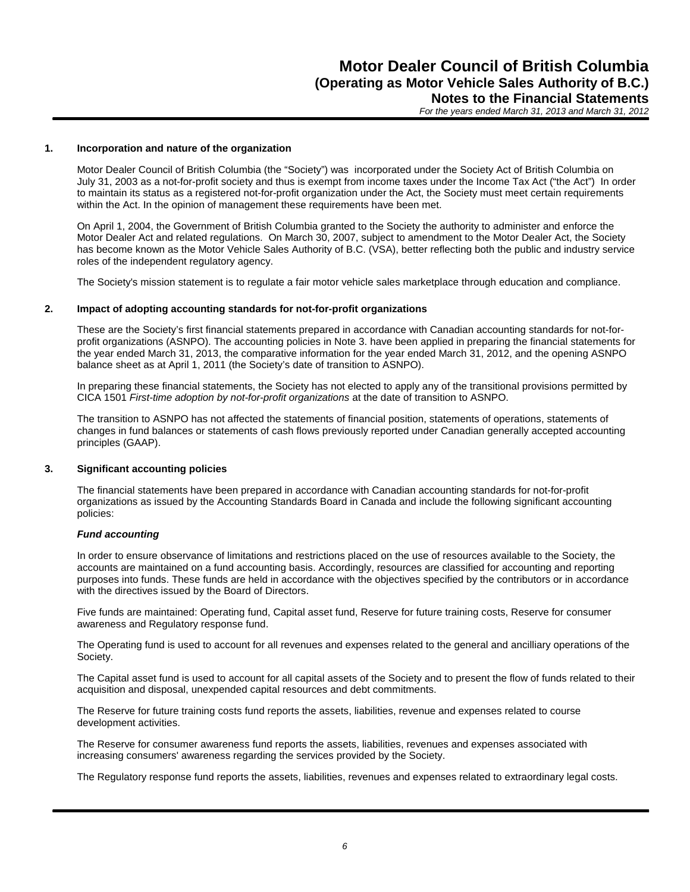#### **1. Incorporation and nature of the organization**

Motor Dealer Council of British Columbia (the "Society") was incorporated under the Society Act of British Columbia on July 31, 2003 as a not-for-profit society and thus is exempt from income taxes under the Income Tax Act ("the Act") In order to maintain its status as a registered not-for-profit organization under the Act, the Society must meet certain requirements within the Act. In the opinion of management these requirements have been met.

On April 1, 2004, the Government of British Columbia granted to the Society the authority to administer and enforce the Motor Dealer Act and related regulations. On March 30, 2007, subject to amendment to the Motor Dealer Act, the Society has become known as the Motor Vehicle Sales Authority of B.C. (VSA), better reflecting both the public and industry service roles of the independent regulatory agency.

The Society's mission statement is to regulate a fair motor vehicle sales marketplace through education and compliance.

#### **2. Impact of adopting accounting standards for not-for-profit organizations**

These are the Society's first financial statements prepared in accordance with Canadian accounting standards for not-forprofit organizations (ASNPO). The accounting policies in Note 3. have been applied in preparing the financial statements for the year ended March 31, 2013, the comparative information for the year ended March 31, 2012, and the opening ASNPO balance sheet as at April 1, 2011 (the Society's date of transition to ASNPO).

In preparing these financial statements, the Society has not elected to apply any of the transitional provisions permitted by CICA 1501 *First-time adoption by not-for-profit organizations* at the date of transition to ASNPO.

The transition to ASNPO has not affected the statements of financial position, statements of operations, statements of changes in fund balances or statements of cash flows previously reported under Canadian generally accepted accounting principles (GAAP).

#### **3. Significant accounting policies**

The financial statements have been prepared in accordance with Canadian accounting standards for not-for-profit organizations as issued by the Accounting Standards Board in Canada and include the following significant accounting policies:

#### *Fund accounting*

In order to ensure observance of limitations and restrictions placed on the use of resources available to the Society, the accounts are maintained on a fund accounting basis. Accordingly, resources are classified for accounting and reporting purposes into funds. These funds are held in accordance with the objectives specified by the contributors or in accordance with the directives issued by the Board of Directors.

Five funds are maintained: Operating fund, Capital asset fund, Reserve for future training costs, Reserve for consumer awareness and Regulatory response fund.

The Operating fund is used to account for all revenues and expenses related to the general and ancilliary operations of the Society.

The Capital asset fund is used to account for all capital assets of the Society and to present the flow of funds related to their acquisition and disposal, unexpended capital resources and debt commitments.

The Reserve for future training costs fund reports the assets, liabilities, revenue and expenses related to course development activities.

The Reserve for consumer awareness fund reports the assets, liabilities, revenues and expenses associated with increasing consumers' awareness regarding the services provided by the Society.

The Regulatory response fund reports the assets, liabilities, revenues and expenses related to extraordinary legal costs.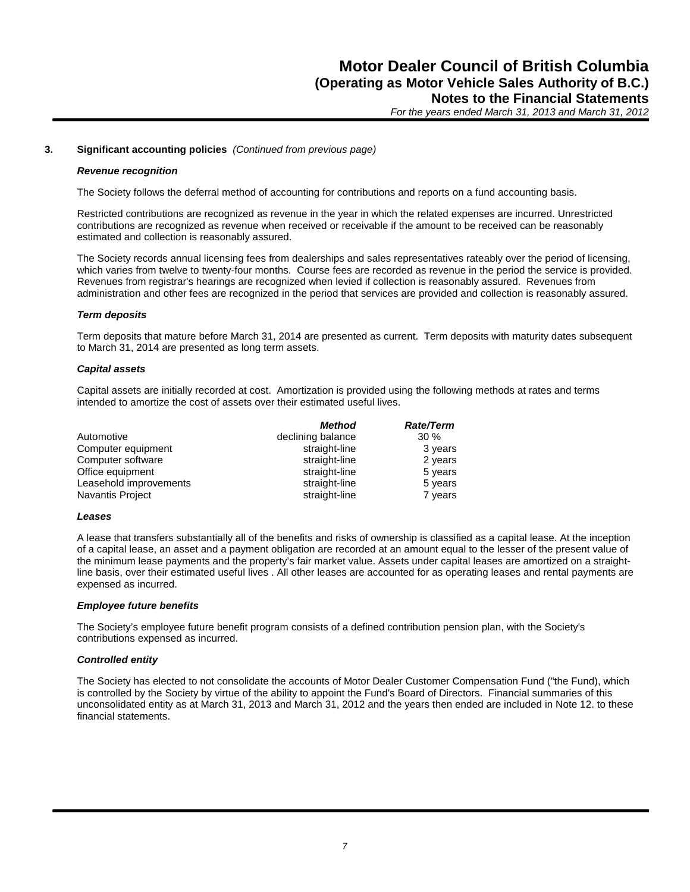#### **3. Significant accounting policies** *(Continued from previous page)*

#### *Revenue recognition*

The Society follows the deferral method of accounting for contributions and reports on a fund accounting basis.

Restricted contributions are recognized as revenue in the year in which the related expenses are incurred. Unrestricted contributions are recognized as revenue when received or receivable if the amount to be received can be reasonably estimated and collection is reasonably assured.

The Society records annual licensing fees from dealerships and sales representatives rateably over the period of licensing, which varies from twelve to twenty-four months. Course fees are recorded as revenue in the period the service is provided. Revenues from registrar's hearings are recognized when levied if collection is reasonably assured. Revenues from administration and other fees are recognized in the period that services are provided and collection is reasonably assured.

#### *Term deposits*

Term deposits that mature before March 31, 2014 are presented as current. Term deposits with maturity dates subsequent to March 31, 2014 are presented as long term assets.

#### *Capital assets*

Capital assets are initially recorded at cost. Amortization is provided using the following methods at rates and terms intended to amortize the cost of assets over their estimated useful lives.

|                         | Method            | <b>Rate/Term</b> |
|-------------------------|-------------------|------------------|
| Automotive              | declining balance | $30\%$           |
| Computer equipment      | straight-line     | 3 years          |
| Computer software       | straight-line     | 2 years          |
| Office equipment        | straight-line     | 5 years          |
| Leasehold improvements  | straight-line     | 5 years          |
| <b>Navantis Project</b> | straight-line     | 7 years          |

#### *Leases*

A lease that transfers substantially all of the benefits and risks of ownership is classified as a capital lease. At the inception of a capital lease, an asset and a payment obligation are recorded at an amount equal to the lesser of the present value of the minimum lease payments and the property's fair market value. Assets under capital leases are amortized on a straightline basis, over their estimated useful lives . All other leases are accounted for as operating leases and rental payments are expensed as incurred.

#### *Employee future benefits*

The Society's employee future benefit program consists of a defined contribution pension plan, with the Society's contributions expensed as incurred.

#### *Controlled entity*

The Society has elected to not consolidate the accounts of Motor Dealer Customer Compensation Fund ("the Fund), which is controlled by the Society by virtue of the ability to appoint the Fund's Board of Directors. Financial summaries of this unconsolidated entity as at March 31, 2013 and March 31, 2012 and the years then ended are included in Note 12. to these financial statements.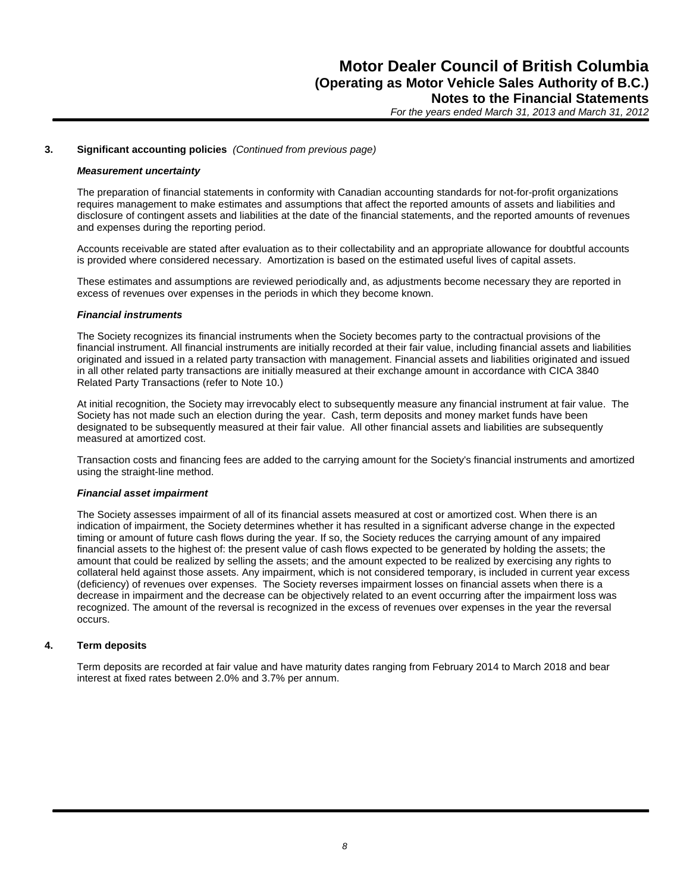#### **3. Significant accounting policies** *(Continued from previous page)*

#### *Measurement uncertainty*

The preparation of financial statements in conformity with Canadian accounting standards for not-for-profit organizations requires management to make estimates and assumptions that affect the reported amounts of assets and liabilities and disclosure of contingent assets and liabilities at the date of the financial statements, and the reported amounts of revenues and expenses during the reporting period.

Accounts receivable are stated after evaluation as to their collectability and an appropriate allowance for doubtful accounts is provided where considered necessary. Amortization is based on the estimated useful lives of capital assets.

These estimates and assumptions are reviewed periodically and, as adjustments become necessary they are reported in excess of revenues over expenses in the periods in which they become known.

#### *Financial instruments*

The Society recognizes its financial instruments when the Society becomes party to the contractual provisions of the financial instrument. All financial instruments are initially recorded at their fair value, including financial assets and liabilities originated and issued in a related party transaction with management. Financial assets and liabilities originated and issued in all other related party transactions are initially measured at their exchange amount in accordance with CICA 3840 Related Party Transactions (refer to Note 10.)

At initial recognition, the Society may irrevocably elect to subsequently measure any financial instrument at fair value. The Society has not made such an election during the year. Cash, term deposits and money market funds have been designated to be subsequently measured at their fair value. All other financial assets and liabilities are subsequently measured at amortized cost.

Transaction costs and financing fees are added to the carrying amount for the Society's financial instruments and amortized using the straight-line method.

#### *Financial asset impairment*

The Society assesses impairment of all of its financial assets measured at cost or amortized cost. When there is an indication of impairment, the Society determines whether it has resulted in a significant adverse change in the expected timing or amount of future cash flows during the year. If so, the Society reduces the carrying amount of any impaired financial assets to the highest of: the present value of cash flows expected to be generated by holding the assets; the amount that could be realized by selling the assets; and the amount expected to be realized by exercising any rights to collateral held against those assets. Any impairment, which is not considered temporary, is included in current year excess (deficiency) of revenues over expenses. The Society reverses impairment losses on financial assets when there is a decrease in impairment and the decrease can be objectively related to an event occurring after the impairment loss was recognized. The amount of the reversal is recognized in the excess of revenues over expenses in the year the reversal occurs.

#### **4. Term deposits**

Term deposits are recorded at fair value and have maturity dates ranging from February 2014 to March 2018 and bear interest at fixed rates between 2.0% and 3.7% per annum.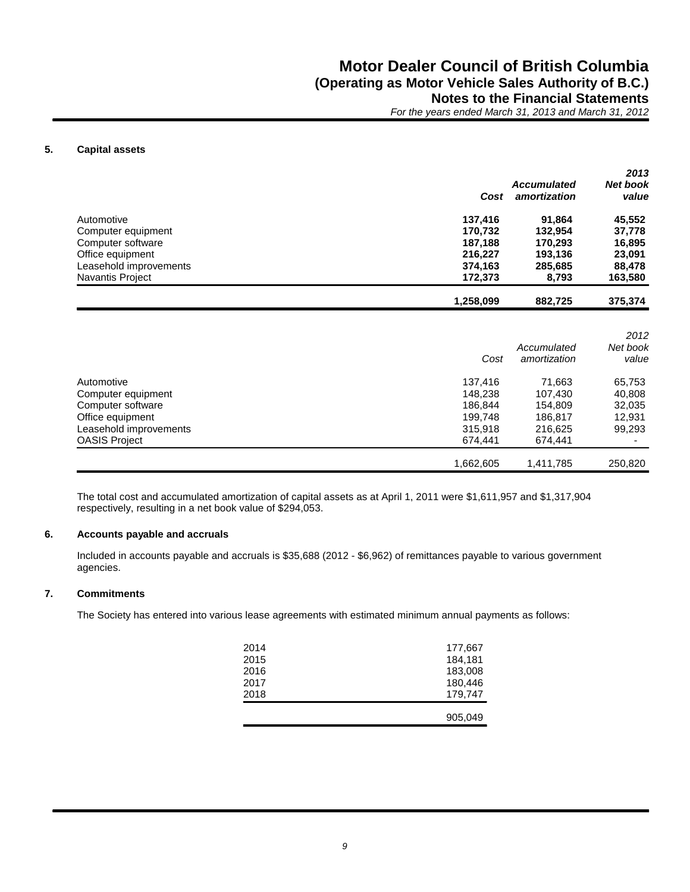#### **5. Capital assets**

|                         | Cost      | <b>Accumulated</b><br>amortization | 2013<br><b>Net book</b><br>value |
|-------------------------|-----------|------------------------------------|----------------------------------|
| Automotive              | 137,416   | 91,864                             | 45,552                           |
| Computer equipment      | 170.732   | 132.954                            | 37,778                           |
| Computer software       | 187.188   | 170,293                            | 16,895                           |
| Office equipment        | 216,227   | 193,136                            | 23,091                           |
| Leasehold improvements  | 374,163   | 285,685                            | 88,478                           |
| <b>Navantis Project</b> | 172.373   | 8,793                              | 163,580                          |
|                         | 1,258,099 | 882,725                            | 375,374                          |

|                        | Cost      | Accumulated<br>amortization | 2012<br>Net book<br>value |
|------------------------|-----------|-----------------------------|---------------------------|
| Automotive             | 137.416   | 71,663                      | 65,753                    |
| Computer equipment     | 148.238   | 107,430                     | 40,808                    |
| Computer software      | 186.844   | 154.809                     | 32,035                    |
| Office equipment       | 199,748   | 186,817                     | 12,931                    |
| Leasehold improvements | 315.918   | 216,625                     | 99,293                    |
| <b>OASIS Project</b>   | 674.441   | 674.441                     |                           |
|                        | 1,662,605 | 1,411,785                   | 250,820                   |

The total cost and accumulated amortization of capital assets as at April 1, 2011 were \$1,611,957 and \$1,317,904 respectively, resulting in a net book value of \$294,053.

#### **6. Accounts payable and accruals**

Included in accounts payable and accruals is \$35,688 (2012 - \$6,962) of remittances payable to various government agencies.

#### **7. Commitments**

The Society has entered into various lease agreements with estimated minimum annual payments as follows:

| 2014<br>2015 | 177,667<br>184,181 |
|--------------|--------------------|
| 2016         | 183,008            |
| 2017         | 180,446            |
| 2018         | 179,747            |
|              |                    |
|              | 905,049            |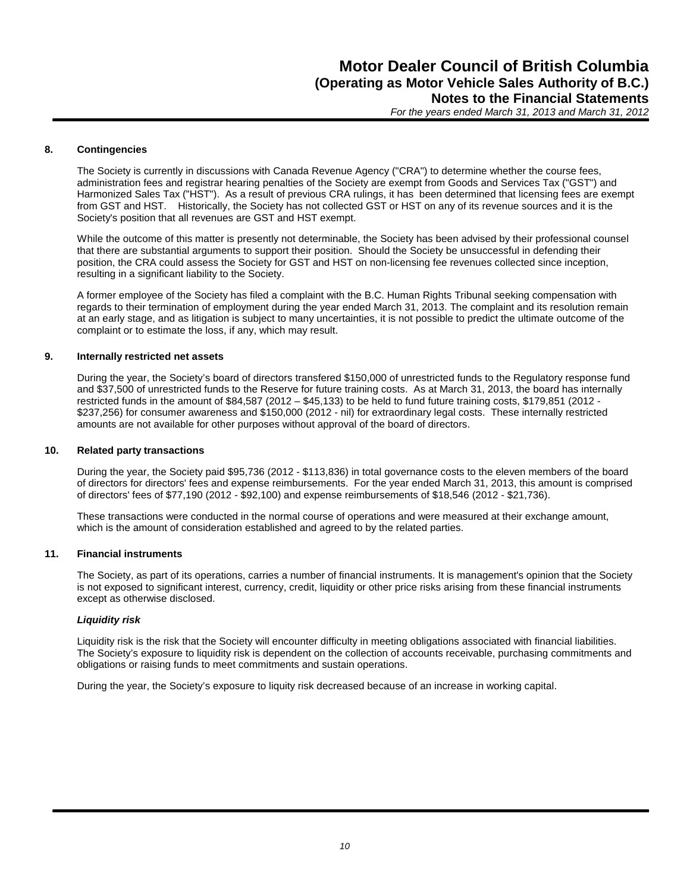#### **8. Contingencies**

The Society is currently in discussions with Canada Revenue Agency ("CRA") to determine whether the course fees, administration fees and registrar hearing penalties of the Society are exempt from Goods and Services Tax ("GST") and Harmonized Sales Tax ("HST"). As a result of previous CRA rulings, it has been determined that licensing fees are exempt from GST and HST. Historically, the Society has not collected GST or HST on any of its revenue sources and it is the Society's position that all revenues are GST and HST exempt.

While the outcome of this matter is presently not determinable, the Society has been advised by their professional counsel that there are substantial arguments to support their position. Should the Society be unsuccessful in defending their position, the CRA could assess the Society for GST and HST on non-licensing fee revenues collected since inception, resulting in a significant liability to the Society.

A former employee of the Society has filed a complaint with the B.C. Human Rights Tribunal seeking compensation with regards to their termination of employment during the year ended March 31, 2013. The complaint and its resolution remain at an early stage, and as litigation is subject to many uncertainties, it is not possible to predict the ultimate outcome of the complaint or to estimate the loss, if any, which may result.

#### **9. Internally restricted net assets**

During the year, the Society's board of directors transfered \$150,000 of unrestricted funds to the Regulatory response fund and \$37,500 of unrestricted funds to the Reserve for future training costs. As at March 31, 2013, the board has internally restricted funds in the amount of \$84,587 (2012 – \$45,133) to be held to fund future training costs, \$179,851 (2012 - \$237,256) for consumer awareness and \$150,000 (2012 - nil) for extraordinary legal costs. These internally restricted amounts are not available for other purposes without approval of the board of directors.

#### **10. Related party transactions**

During the year, the Society paid \$95,736 (2012 - \$113,836) in total governance costs to the eleven members of the board of directors for directors' fees and expense reimbursements. For the year ended March 31, 2013, this amount is comprised of directors' fees of \$77,190 (2012 - \$92,100) and expense reimbursements of \$18,546 (2012 - \$21,736).

These transactions were conducted in the normal course of operations and were measured at their exchange amount, which is the amount of consideration established and agreed to by the related parties.

#### **11. Financial instruments**

The Society, as part of its operations, carries a number of financial instruments. It is management's opinion that the Society is not exposed to significant interest, currency, credit, liquidity or other price risks arising from these financial instruments except as otherwise disclosed.

#### *Liquidity risk*

Liquidity risk is the risk that the Society will encounter difficulty in meeting obligations associated with financial liabilities. The Society's exposure to liquidity risk is dependent on the collection of accounts receivable, purchasing commitments and obligations or raising funds to meet commitments and sustain operations.

During the year, the Society's exposure to liquity risk decreased because of an increase in working capital.